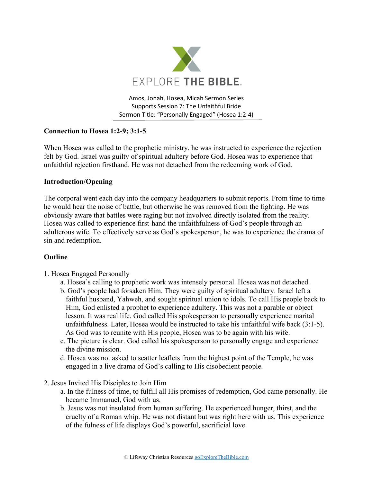

Amos, Jonah, Hosea, Micah Sermon Series Supports Session 7: The Unfaithful Bride Sermon Title: "Personally Engaged" (Hosea 1:2-4)

## **Connection to Hosea 1:2-9; 3:1-5**

When Hosea was called to the prophetic ministry, he was instructed to experience the rejection felt by God. Israel was guilty of spiritual adultery before God. Hosea was to experience that unfaithful rejection firsthand. He was not detached from the redeeming work of God.

## **Introduction/Opening**

The corporal went each day into the company headquarters to submit reports. From time to time he would hear the noise of battle, but otherwise he was removed from the fighting. He was obviously aware that battles were raging but not involved directly isolated from the reality. Hosea was called to experience first-hand the unfaithfulness of God's people through an adulterous wife. To effectively serve as God's spokesperson, he was to experience the drama of sin and redemption.

## **Outline**

- 1. Hosea Engaged Personally
	- a. Hosea's calling to prophetic work was intensely personal. Hosea was not detached.
	- b. God's people had forsaken Him. They were guilty of spiritual adultery. Israel left a faithful husband, Yahweh, and sought spiritual union to idols. To call His people back to Him, God enlisted a prophet to experience adultery. This was not a parable or object lesson. It was real life. God called His spokesperson to personally experience marital unfaithfulness. Later, Hosea would be instructed to take his unfaithful wife back (3:1-5). As God was to reunite with His people, Hosea was to be again with his wife.
	- c. The picture is clear. God called his spokesperson to personally engage and experience the divine mission.
	- d. Hosea was not asked to scatter leaflets from the highest point of the Temple, he was engaged in a live drama of God's calling to His disobedient people.
- 2. Jesus Invited His Disciples to Join Him
	- a. In the fulness of time, to fulfill all His promises of redemption, God came personally. He became Immanuel, God with us.
	- b. Jesus was not insulated from human suffering. He experienced hunger, thirst, and the cruelty of a Roman whip. He was not distant but was right here with us. This experience of the fulness of life displays God's powerful, sacrificial love.